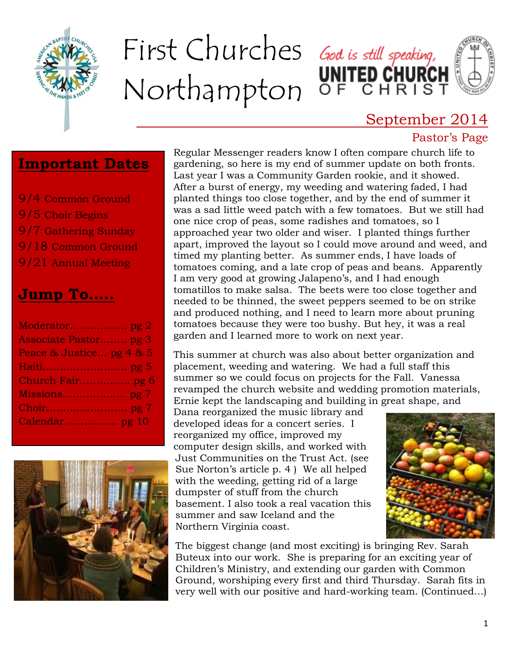

# First Churches God is still speaking, Northampton OF CHRIST

### September 2014

#### Pastor's Page

#### **Important Dates**

9/4 Common Ground 9/5 Choir Begins 9/7 Gathering Sunday 9/18 Common Ground 9/21 Annual Meeting

### **Jump To…..**

| Associate Pastor pg 3    |
|--------------------------|
| Peace & Justice pg 4 & 5 |
|                          |
| Church Fair pg 6         |
|                          |
|                          |
| Calendar  pg 10          |
|                          |



Regular Messenger readers know I often compare church life to gardening, so here is my end of summer update on both fronts. Last year I was a Community Garden rookie, and it showed. After a burst of energy, my weeding and watering faded, I had planted things too close together, and by the end of summer it was a sad little weed patch with a few tomatoes. But we still had one nice crop of peas, some radishes and tomatoes, so I approached year two older and wiser. I planted things further apart, improved the layout so I could move around and weed, and timed my planting better. As summer ends, I have loads of tomatoes coming, and a late crop of peas and beans. Apparently I am very good at growing Jalapeno's, and I had enough tomatillos to make salsa. The beets were too close together and needed to be thinned, the sweet peppers seemed to be on strike and produced nothing, and I need to learn more about pruning tomatoes because they were too bushy. But hey, it was a real garden and I learned more to work on next year.

This summer at church was also about better organization and placement, weeding and watering. We had a full staff this summer so we could focus on projects for the Fall. Vanessa revamped the church website and wedding promotion materials, Ernie kept the landscaping and building in great shape, and

Dana reorganized the music library and developed ideas for a concert series. I reorganized my office, improved my computer design skills, and worked with Just Communities on the Trust Act. (see Sue Norton's article p. 4 ) We all helped with the weeding, getting rid of a large dumpster of stuff from the church basement. I also took a real vacation this summer and saw Iceland and the Northern Virginia coast.



The biggest change (and most exciting) is bringing Rev. Sarah Buteux into our work. She is preparing for an exciting year of Children's Ministry, and extending our garden with Common Ground, worshiping every first and third Thursday. Sarah fits in very well with our positive and hard-working team. (Continued…)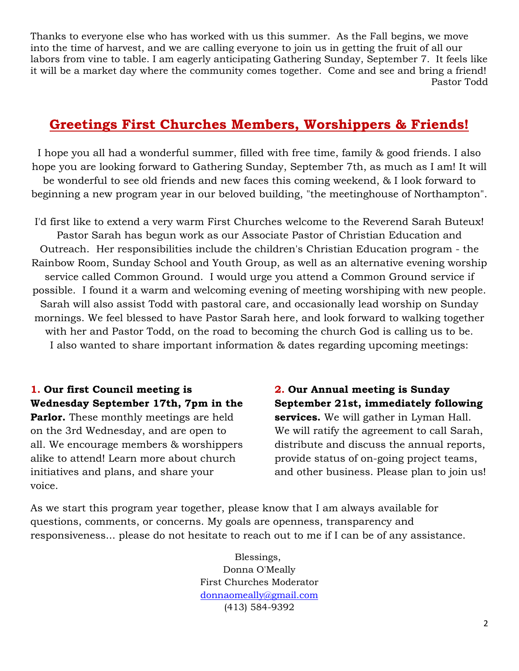Thanks to everyone else who has worked with us this summer. As the Fall begins, we move into the time of harvest, and we are calling everyone to join us in getting the fruit of all our labors from vine to table. I am eagerly anticipating Gathering Sunday, September 7. It feels like it will be a market day where the community comes together. Come and see and bring a friend! Pastor Todd

#### **Greetings First Churches Members, Worshippers & Friends!**

I hope you all had a wonderful summer, filled with free time, family & good friends. I also hope you are looking forward to Gathering Sunday, September 7th, as much as I am! It will be wonderful to see old friends and new faces this coming weekend, & I look forward to beginning a new program year in our beloved building, "the meetinghouse of Northampton".

I'd first like to extend a very warm First Churches welcome to the Reverend Sarah Buteux! Pastor Sarah has begun work as our Associate Pastor of Christian Education and Outreach. Her responsibilities include the children's Christian Education program - the Rainbow Room, Sunday School and Youth Group, as well as an alternative evening worship service called Common Ground. I would urge you attend a Common Ground service if possible. I found it a warm and welcoming evening of meeting worshiping with new people. Sarah will also assist Todd with pastoral care, and occasionally lead worship on Sunday mornings. We feel blessed to have Pastor Sarah here, and look forward to walking together with her and Pastor Todd, on the road to becoming the church God is calling us to be. I also wanted to share important information & dates regarding upcoming meetings:

**1. Our first Council meeting is Wednesday September 17th, 7pm in the Parlor.** These monthly meetings are held on the 3rd Wednesday, and are open to all. We encourage members & worshippers alike to attend! Learn more about church initiatives and plans, and share your voice.

**2. Our Annual meeting is Sunday September 21st, immediately following services.** We will gather in Lyman Hall. We will ratify the agreement to call Sarah, distribute and discuss the annual reports, provide status of on-going project teams, and other business. Please plan to join us!

As we start this program year together, please know that I am always available for questions, comments, or concerns. My goals are openness, transparency and responsiveness... please do not hesitate to reach out to me if I can be of any assistance.

> Blessings, Donna O'Meally First Churches Moderator [donnaomeally@gmail.com](mailto:donnaomeally@gmail.com) (413) 584-9392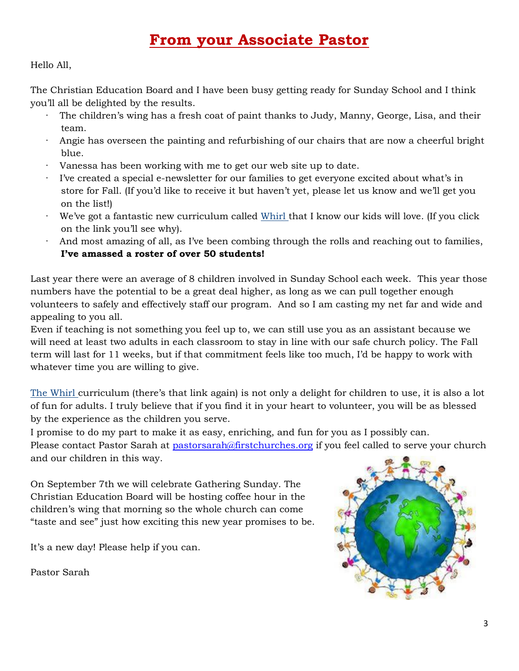### **From your Associate Pastor**

Hello All,

The Christian Education Board and I have been busy getting ready for Sunday School and I think you'll all be delighted by the results.

- The children's wing has a fresh coat of paint thanks to Judy, Manny, George, Lisa, and their team.
- · Angie has overseen the painting and refurbishing of our chairs that are now a cheerful bright blue.
- · Vanessa has been working with me to get our web site up to date.
- I've created a special e-newsletter for our families to get everyone excited about what's in store for Fall. (If you'd like to receive it but haven't yet, please let us know and we'll get you on the list!)
- We've got a fantastic new curriculum called [Whirl t](https://www.youtube.com/playlist?list=PLatq_vJeOQAGTCB084H9Uj_TEIftrf-dP)hat I know our kids will love. (If you click on the link you'll see why).
- And most amazing of all, as I've been combing through the rolls and reaching out to families, **I've amassed a roster of over 50 students!**

Last year there were an average of 8 children involved in Sunday School each week. This year those numbers have the potential to be a great deal higher, as long as we can pull together enough volunteers to safely and effectively staff our program. And so I am casting my net far and wide and appealing to you all.

Even if teaching is not something you feel up to, we can still use you as an assistant because we will need at least two adults in each classroom to stay in line with our safe church policy. The Fall term will last for 11 weeks, but if that commitment feels like too much, I'd be happy to work with whatever time you are willing to give.

[The Whirl](https://www.youtube.com/playlist?list=PLatq_vJeOQAGTCB084H9Uj_TEIftrf-dP) curriculum (there's that link again) is not only a delight for children to use, it is also a lot of fun for adults. I truly believe that if you find it in your heart to volunteer, you will be as blessed by the experience as the children you serve.

I promise to do my part to make it as easy, enriching, and fun for you as I possibly can. Please contact Pastor Sarah at [pastorsarah@firstchurches.org](mailto:pastorsarah@firstchurches.org) if you feel called to serve your church and our children in this way.

On September 7th we will celebrate Gathering Sunday. The Christian Education Board will be hosting coffee hour in the children's wing that morning so the whole church can come "taste and see" just how exciting this new year promises to be.

It's a new day! Please help if you can.

Pastor Sarah

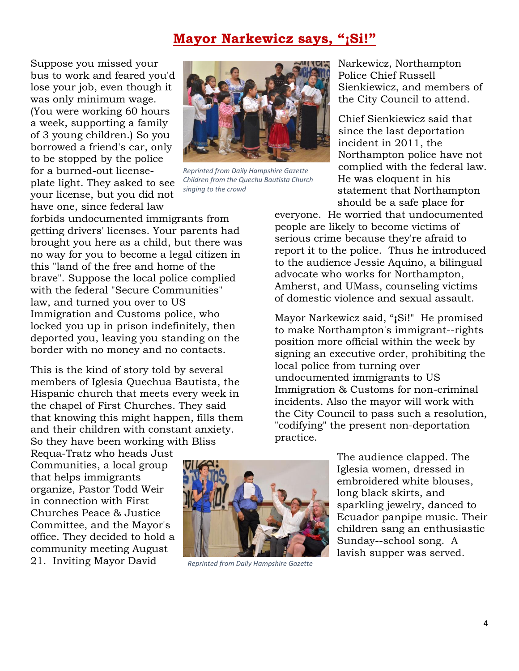#### **Mayor Narkewicz says, "¡Si!"**

Suppose you missed your bus to work and feared you'd lose your job, even though it was only minimum wage. (You were working 60 hours a week, supporting a family of 3 young children.) So you borrowed a friend's car, only to be stopped by the police for a burned-out licenseplate light. They asked to see your license, but you did not have one, since federal law



*Reprinted from Daily Hampshire Gazette Children from the Quechu Bautista Church singing to the crowd*

forbids undocumented immigrants from getting drivers' licenses. Your parents had brought you here as a child, but there was no way for you to become a legal citizen in this "land of the free and home of the brave". Suppose the local police complied with the federal "Secure Communities" law, and turned you over to US Immigration and Customs police, who locked you up in prison indefinitely, then deported you, leaving you standing on the border with no money and no contacts.

This is the kind of story told by several members of Iglesia Quechua Bautista, the Hispanic church that meets every week in the chapel of First Churches. They said that knowing this might happen, fills them and their children with constant anxiety. So they have been working with Bliss

statement that Northampton should be a safe place for everyone. He worried that undocumented people are likely to become victims of serious crime because they're afraid to report it to the police. Thus he introduced to the audience Jessie Aquino, a bilingual advocate who works for Northampton, Amherst, and UMass, counseling victims

of domestic violence and sexual assault.

Narkewicz, Northampton

Sienkiewicz, and members of the City Council to attend.

Chief Sienkiewicz said that since the last deportation

Northampton police have not complied with the federal law.

Police Chief Russell

incident in 2011, the

He was eloquent in his

Mayor Narkewicz said, "**¡**Si!" He promised to make Northampton's immigrant--rights position more official within the week by signing an executive order, prohibiting the local police from turning over undocumented immigrants to US Immigration & Customs for non-criminal incidents. Also the mayor will work with the City Council to pass such a resolution, "codifying" the present non-deportation practice.

Requa-Tratz who heads Just Communities, a local group that helps immigrants organize, Pastor Todd Weir in connection with First Churches Peace & Justice Committee, and the Mayor's office. They decided to hold a community meeting August 21. Inviting Mayor David



 *Reprinted from Daily Hampshire Gazette*

The audience clapped. The Iglesia women, dressed in embroidered white blouses, long black skirts, and sparkling jewelry, danced to Ecuador panpipe music. Their children sang an enthusiastic Sunday--school song. A lavish supper was served.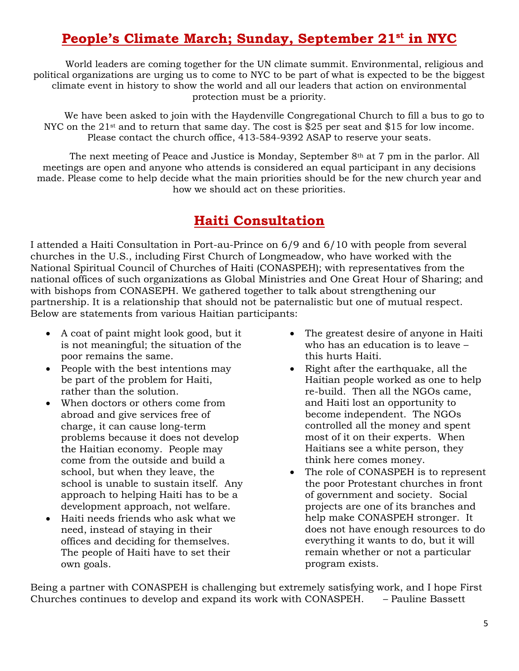### **People's Climate March; Sunday, September 21st in NYC**

World leaders are coming together for the UN climate summit. Environmental, religious and political organizations are urging us to come to NYC to be part of what is expected to be the biggest climate event in history to show the world and all our leaders that action on environmental protection must be a priority.

We have been asked to join with the Haydenville Congregational Church to fill a bus to go to NYC on the 21<sup>st</sup> and to return that same day. The cost is \$25 per seat and \$15 for low income. Please contact the church office, 413-584-9392 ASAP to reserve your seats.

The next meeting of Peace and Justice is Monday, September 8th at 7 pm in the parlor. All meetings are open and anyone who attends is considered an equal participant in any decisions made. Please come to help decide what the main priorities should be for the new church year and how we should act on these priorities.

### **Haiti Consultation**

I attended a Haiti Consultation in Port-au-Prince on 6/9 and 6/10 with people from several churches in the U.S., including First Church of Longmeadow, who have worked with the National Spiritual Council of Churches of Haiti (CONASPEH); with representatives from the national offices of such organizations as Global Ministries and One Great Hour of Sharing; and with bishops from CONASEPH. We gathered together to talk about strengthening our partnership. It is a relationship that should not be paternalistic but one of mutual respect. Below are statements from various Haitian participants:

- A coat of paint might look good, but it is not meaningful; the situation of the poor remains the same.
- People with the best intentions may be part of the problem for Haiti, rather than the solution.
- When doctors or others come from abroad and give services free of charge, it can cause long-term problems because it does not develop the Haitian economy. People may come from the outside and build a school, but when they leave, the school is unable to sustain itself. Any approach to helping Haiti has to be a development approach, not welfare.
- Haiti needs friends who ask what we need, instead of staying in their offices and deciding for themselves. The people of Haiti have to set their own goals.
- The greatest desire of anyone in Haiti who has an education is to leave – this hurts Haiti.
- Right after the earthquake, all the Haitian people worked as one to help re-build. Then all the NGOs came, and Haiti lost an opportunity to become independent. The NGOs controlled all the money and spent most of it on their experts. When Haitians see a white person, they think here comes money.
- The role of CONASPEH is to represent the poor Protestant churches in front of government and society. Social projects are one of its branches and help make CONASPEH stronger. It does not have enough resources to do everything it wants to do, but it will remain whether or not a particular program exists.

Being a partner with CONASPEH is challenging but extremely satisfying work, and I hope First Churches continues to develop and expand its work with CONASPEH. – Pauline Bassett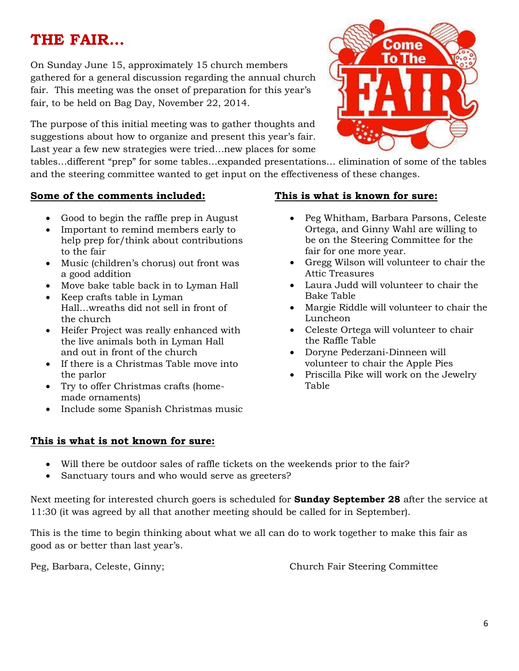### **THE FAIR…**

On Sunday June 15, approximately 15 church members gathered for a general discussion regarding the annual church fair. This meeting was the onset of preparation for this year's fair, to be held on Bag Day, November 22, 2014.

The purpose of this initial meeting was to gather thoughts and suggestions about how to organize and present this year's fair. Last year a few new strategies were tried…new places for some

tables…different "prep" for some tables…expanded presentations… elimination of some of the tables and the steering committee wanted to get input on the effectiveness of these changes.

#### **Some of the comments included:**

- Good to begin the raffle prep in August
- Important to remind members early to help prep for/think about contributions to the fair
- Music (children's chorus) out front was a good addition
- Move bake table back in to Lyman Hall
- Keep crafts table in Lyman Hall…wreaths did not sell in front of the church
- Heifer Project was really enhanced with the live animals both in Lyman Hall and out in front of the church
- If there is a Christmas Table move into the parlor
- Try to offer Christmas crafts (homemade ornaments)
- Include some Spanish Christmas music

#### **This is what is not known for sure:**

#### **This is what is known for sure:**

- Peg Whitham, Barbara Parsons, Celeste Ortega, and Ginny Wahl are willing to be on the Steering Committee for the fair for one more year.
- Gregg Wilson will volunteer to chair the Attic Treasures
- Laura Judd will volunteer to chair the Bake Table
- Margie Riddle will volunteer to chair the Luncheon
- Celeste Ortega will volunteer to chair the Raffle Table
- Doryne Pederzani-Dinneen will volunteer to chair the Apple Pies
- Priscilla Pike will work on the Jewelry Table

- Will there be outdoor sales of raffle tickets on the weekends prior to the fair?
- Sanctuary tours and who would serve as greeters?

Next meeting for interested church goers is scheduled for **Sunday September 28** after the service at 11:30 (it was agreed by all that another meeting should be called for in September).

This is the time to begin thinking about what we all can do to work together to make this fair as good as or better than last year's.

Peg, Barbara, Celeste, Ginny; Church Fair Steering Committee

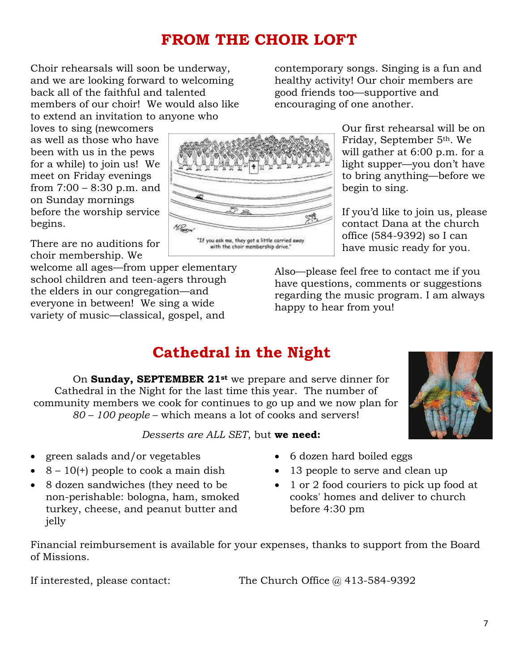### **FROM THE CHOIR LOFT**

Choir rehearsals will soon be underway, and we are looking forward to welcoming back all of the faithful and talented members of our choir! We would also like to extend an invitation to anyone who

loves to sing (newcomers as well as those who have been with us in the pews for a while) to join us! We meet on Friday evenings from 7:00 – 8:30 p.m. and on Sunday mornings before the worship service begins.

There are no auditions for choir membership. We

welcome all ages—from upper elementary school children and teen-agers through the elders in our congregation—and everyone in between! We sing a wide variety of music—classical, gospel, and

"If you ask me, they got a little carried awa<br>with the choir membership drive."

contemporary songs. Singing is a fun and healthy activity! Our choir members are good friends too—supportive and encouraging of one another.

> Our first rehearsal will be on Friday, September 5th. We will gather at 6:00 p.m. for a light supper—you don't have to bring anything—before we begin to sing.

> If you'd like to join us, please contact Dana at the church office (584-9392) so I can have music ready for you.

Also—please feel free to contact me if you have questions, comments or suggestions regarding the music program. I am always happy to hear from you!

### **Cathedral in the Night**

On **Sunday, SEPTEMBER 21st** we prepare and serve dinner for Cathedral in the Night for the last time this year. The number of community members we cook for continues to go up and we now plan for *80 – 100 people* – which means a lot of cooks and servers!

*Desserts are ALL SET*, but **we need:**

- green salads and/or vegetables
- $\bullet$  8 10(+) people to cook a main dish
- 8 dozen sandwiches (they need to be non-perishable: bologna, ham, smoked turkey, cheese, and peanut butter and jelly
- 6 dozen hard boiled eggs
- 13 people to serve and clean up
- 1 or 2 food couriers to pick up food at cooks' homes and deliver to church before 4:30 pm

Financial reimbursement is available for your expenses, thanks to support from the Board of Missions.

If interested, please contact: The Church Office @ 413-584-9392



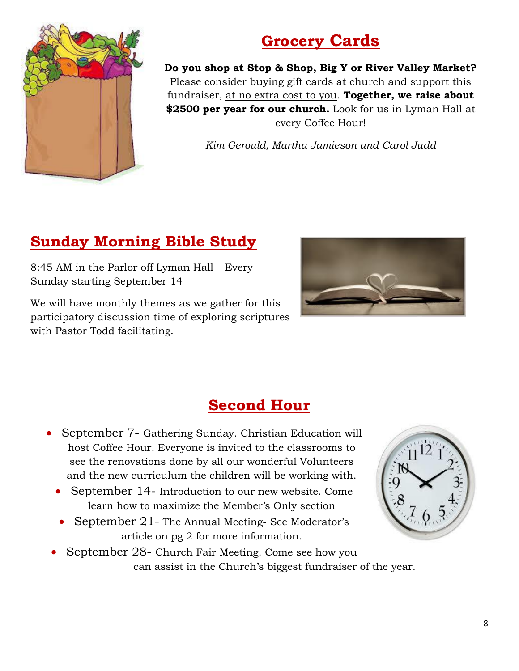

### **Grocery Cards**

**Do you shop at Stop & Shop, Big Y or River Valley Market?** Please consider buying gift cards at church and support this fundraiser, at no extra cost to you. **Together, we raise about \$2500 per year for our church.** Look for us in Lyman Hall at every Coffee Hour!

*Kim Gerould, Martha Jamieson and Carol Judd*

### **Sunday Morning Bible Study**

8:45 AM in the Parlor off Lyman Hall – Every Sunday starting September 14

We will have monthly themes as we gather for this participatory discussion time of exploring scriptures with Pastor Todd facilitating.



### **Second Hour**

- September 7- Gathering Sunday. Christian Education will host Coffee Hour. Everyone is invited to the classrooms to see the renovations done by all our wonderful Volunteers and the new curriculum the children will be working with.
	- September 14- Introduction to our new website. Come learn how to maximize the Member's Only section
	- September 21- The Annual Meeting- See Moderator's article on pg 2 for more information.



 September 28- Church Fair Meeting. Come see how you can assist in the Church's biggest fundraiser of the year.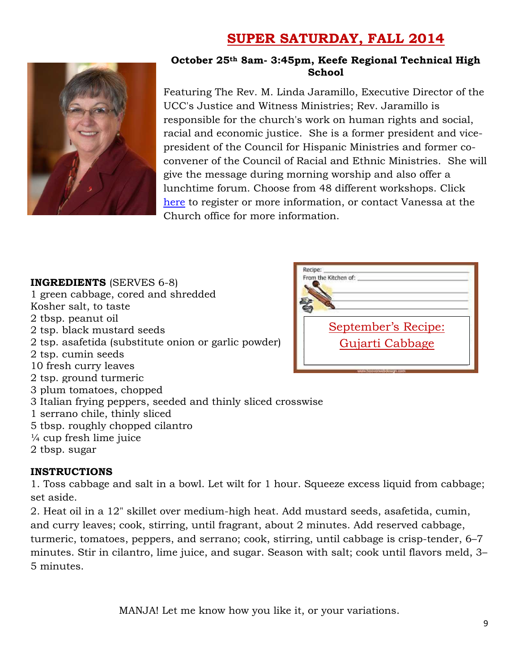### **SUPER SATURDAY, FALL 2014**



#### **October 25th 8am- 3:45pm, Keefe Regional Technical High School**

Featuring The Rev. M. Linda Jaramillo, Executive Director of the UCC's Justice and Witness Ministries; Rev. Jaramillo is responsible for the church's work on human rights and social, racial and economic justice. She is a former president and vicepresident of the Council for Hispanic Ministries and former coconvener of the Council of Racial and Ethnic Ministries. She will give the message during morning worship and also offer a lunchtime forum. Choose from 48 different workshops. Click [here](http://www.macucc.org/eventdetail/112024?month=10&year=2014&day=1&display=m) to register or more information, or contact Vanessa at the Church office for more information.

| <b>INGREDIENTS</b> (SERVES 6-8)<br>1 green cabbage, cored and shredded<br>Kosher salt, to taste<br>2 tbsp. peanut oil<br>2 tsp. black mustard seeds<br>2 tsp. asafetida (substitute onion or garlic powder)<br>2 tsp. cumin seeds | Recine:<br>From the Kitchen of:<br>September's Recipe:<br>Gujarti Cabbage |
|-----------------------------------------------------------------------------------------------------------------------------------------------------------------------------------------------------------------------------------|---------------------------------------------------------------------------|
| 10 fresh curry leaves<br>2 tsp. ground turmeric                                                                                                                                                                                   |                                                                           |
| 3 plum tomatoes, chopped                                                                                                                                                                                                          |                                                                           |
| 3 Italian frying peppers, seeded and thinly sliced crosswise                                                                                                                                                                      |                                                                           |
| 1 serrano chile, thinly sliced                                                                                                                                                                                                    |                                                                           |
| 5 tbsp. roughly chopped cilantro                                                                                                                                                                                                  |                                                                           |
| $\frac{1}{4}$ cup fresh lime juice                                                                                                                                                                                                |                                                                           |
| 2 tbsp. sugar                                                                                                                                                                                                                     |                                                                           |

#### **INSTRUCTIONS**

1. Toss cabbage and salt in a bowl. Let wilt for 1 hour. Squeeze excess liquid from cabbage; set aside.

2. Heat oil in a 12" skillet over medium-high heat. Add mustard seeds, asafetida, cumin, and curry leaves; cook, stirring, until fragrant, about 2 minutes. Add reserved cabbage, turmeric, tomatoes, peppers, and serrano; cook, stirring, until cabbage is crisp-tender, 6–7 minutes. Stir in cilantro, lime juice, and sugar. Season with salt; cook until flavors meld, 3– 5 minutes.

MANJA! Let me know how you like it, or your variations.